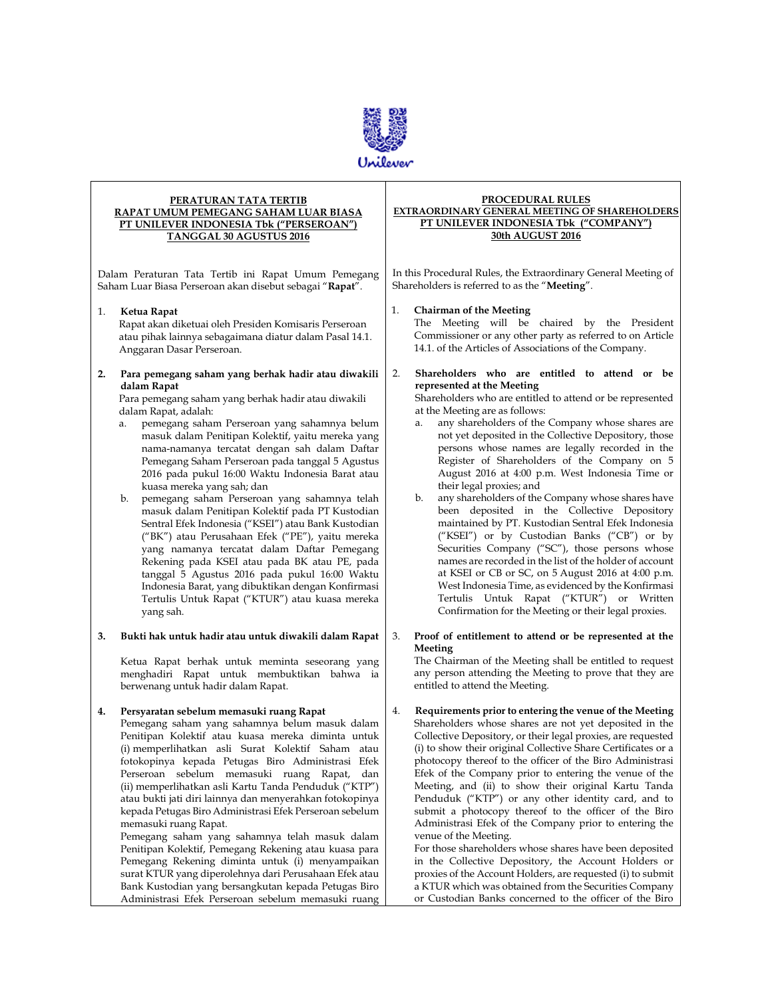

Τ

| PERATURAN TATA TERTIB<br>RAPAT UMUM PEMEGANG SAHAM LUAR BIASA<br><b>PT UNILEVER INDONESIA Tbk ("PERSEROAN")</b><br>TANGGAL 30 AGUSTUS 2016 |                                                                                                                                                                                                                                                                                                                                                                                                                                                                                                                                                                                                                                                                                                                                                                                                                                                                                                                                                | PROCEDURAL RULES<br><b>EXTRAORDINARY GENERAL MEETING OF SHAREHOLDERS</b><br>PT UNILEVER INDONESIA Tbk ("COMPANY")<br>30th AUGUST 2016                                                                                                                                                                                                                                                                                                                                                                                                                                                                                                                                                                                                                                                                                                                                                                                                                                                                                              |  |
|--------------------------------------------------------------------------------------------------------------------------------------------|------------------------------------------------------------------------------------------------------------------------------------------------------------------------------------------------------------------------------------------------------------------------------------------------------------------------------------------------------------------------------------------------------------------------------------------------------------------------------------------------------------------------------------------------------------------------------------------------------------------------------------------------------------------------------------------------------------------------------------------------------------------------------------------------------------------------------------------------------------------------------------------------------------------------------------------------|------------------------------------------------------------------------------------------------------------------------------------------------------------------------------------------------------------------------------------------------------------------------------------------------------------------------------------------------------------------------------------------------------------------------------------------------------------------------------------------------------------------------------------------------------------------------------------------------------------------------------------------------------------------------------------------------------------------------------------------------------------------------------------------------------------------------------------------------------------------------------------------------------------------------------------------------------------------------------------------------------------------------------------|--|
| Dalam Peraturan Tata Tertib ini Rapat Umum Pemegang<br>Saham Luar Biasa Perseroan akan disebut sebagai "Rapat".                            |                                                                                                                                                                                                                                                                                                                                                                                                                                                                                                                                                                                                                                                                                                                                                                                                                                                                                                                                                | In this Procedural Rules, the Extraordinary General Meeting of<br>Shareholders is referred to as the "Meeting".                                                                                                                                                                                                                                                                                                                                                                                                                                                                                                                                                                                                                                                                                                                                                                                                                                                                                                                    |  |
| 1.                                                                                                                                         | Ketua Rapat<br>Rapat akan diketuai oleh Presiden Komisaris Perseroan<br>atau pihak lainnya sebagaimana diatur dalam Pasal 14.1.<br>Anggaran Dasar Perseroan.                                                                                                                                                                                                                                                                                                                                                                                                                                                                                                                                                                                                                                                                                                                                                                                   | <b>Chairman of the Meeting</b><br>1.<br>The Meeting will be chaired by the President<br>Commissioner or any other party as referred to on Article<br>14.1. of the Articles of Associations of the Company.                                                                                                                                                                                                                                                                                                                                                                                                                                                                                                                                                                                                                                                                                                                                                                                                                         |  |
| 2.                                                                                                                                         | Para pemegang saham yang berhak hadir atau diwakili<br>dalam Rapat<br>Para pemegang saham yang berhak hadir atau diwakili<br>dalam Rapat, adalah:<br>pemegang saham Perseroan yang sahamnya belum<br>a.<br>masuk dalam Penitipan Kolektif, yaitu mereka yang<br>nama-namanya tercatat dengan sah dalam Daftar<br>Pemegang Saham Perseroan pada tanggal 5 Agustus<br>2016 pada pukul 16:00 Waktu Indonesia Barat atau<br>kuasa mereka yang sah; dan<br>b.<br>pemegang saham Perseroan yang sahamnya telah<br>masuk dalam Penitipan Kolektif pada PT Kustodian<br>Sentral Efek Indonesia ("KSEI") atau Bank Kustodian<br>("BK") atau Perusahaan Efek ("PE"), yaitu mereka<br>yang namanya tercatat dalam Daftar Pemegang<br>Rekening pada KSEI atau pada BK atau PE, pada<br>tanggal 5 Agustus 2016 pada pukul 16:00 Waktu<br>Indonesia Barat, yang dibuktikan dengan Konfirmasi<br>Tertulis Untuk Rapat ("KTUR") atau kuasa mereka<br>yang sah. | 2.<br>Shareholders who are entitled to attend or be<br>represented at the Meeting<br>Shareholders who are entitled to attend or be represented<br>at the Meeting are as follows:<br>any shareholders of the Company whose shares are<br>a.<br>not yet deposited in the Collective Depository, those<br>persons whose names are legally recorded in the<br>Register of Shareholders of the Company on 5<br>August 2016 at 4:00 p.m. West Indonesia Time or<br>their legal proxies; and<br>any shareholders of the Company whose shares have<br>b.<br>been deposited in the Collective Depository<br>maintained by PT. Kustodian Sentral Efek Indonesia<br>("KSEI") or by Custodian Banks ("CB") or by<br>Securities Company ("SC"), those persons whose<br>names are recorded in the list of the holder of account<br>at KSEI or CB or SC, on 5 August 2016 at 4:00 p.m.<br>West Indonesia Time, as evidenced by the Konfirmasi<br>Tertulis Untuk Rapat ("KTUR") or Written<br>Confirmation for the Meeting or their legal proxies. |  |
| 3.                                                                                                                                         | Bukti hak untuk hadir atau untuk diwakili dalam Rapat<br>Ketua Rapat berhak untuk meminta seseorang yang<br>menghadiri Rapat untuk membuktikan bahwa ia<br>berwenang untuk hadir dalam Rapat.                                                                                                                                                                                                                                                                                                                                                                                                                                                                                                                                                                                                                                                                                                                                                  | 3.<br>Proof of entitlement to attend or be represented at the<br>Meeting<br>The Chairman of the Meeting shall be entitled to request<br>any person attending the Meeting to prove that they are<br>entitled to attend the Meeting.                                                                                                                                                                                                                                                                                                                                                                                                                                                                                                                                                                                                                                                                                                                                                                                                 |  |
| 4.                                                                                                                                         | Persyaratan sebelum memasuki ruang Rapat<br>Pemegang saham yang sahamnya belum masuk dalam<br>Penitipan Kolektif atau kuasa mereka diminta untuk<br>(i) memperlihatkan asli Surat Kolektif Saham atau<br>fotokopinya kepada Petugas Biro Administrasi Efek<br>Perseroan sebelum memasuki ruang Rapat,<br>dan<br>(ii) memperlihatkan asli Kartu Tanda Penduduk ("KTP")<br>atau bukti jati diri lainnya dan menyerahkan fotokopinya<br>kepada Petugas Biro Administrasi Efek Perseroan sebelum<br>memasuki ruang Rapat.<br>Pemegang saham yang sahamnya telah masuk dalam<br>Penitipan Kolektif, Pemegang Rekening atau kuasa para<br>Pemegang Rekening diminta untuk (i) menyampaikan<br>surat KTUR yang diperolehnya dari Perusahaan Efek atau<br>Bank Kustodian yang bersangkutan kepada Petugas Biro                                                                                                                                         | 4.<br>Requirements prior to entering the venue of the Meeting<br>Shareholders whose shares are not yet deposited in the<br>Collective Depository, or their legal proxies, are requested<br>(i) to show their original Collective Share Certificates or a<br>photocopy thereof to the officer of the Biro Administrasi<br>Efek of the Company prior to entering the venue of the<br>Meeting, and (ii) to show their original Kartu Tanda<br>Penduduk ("KTP") or any other identity card, and to<br>submit a photocopy thereof to the officer of the Biro<br>Administrasi Efek of the Company prior to entering the<br>venue of the Meeting.<br>For those shareholders whose shares have been deposited<br>in the Collective Depository, the Account Holders or<br>proxies of the Account Holders, are requested (i) to submit<br>a KTUR which was obtained from the Securities Company                                                                                                                                              |  |

or Custodian Banks concerned to the officer of the Biro

 $\overline{\phantom{0}}$ 

Bank Kustodian yang bersangkutan kepada Petugas Biro Administrasi Efek Perseroan sebelum memasuki ruang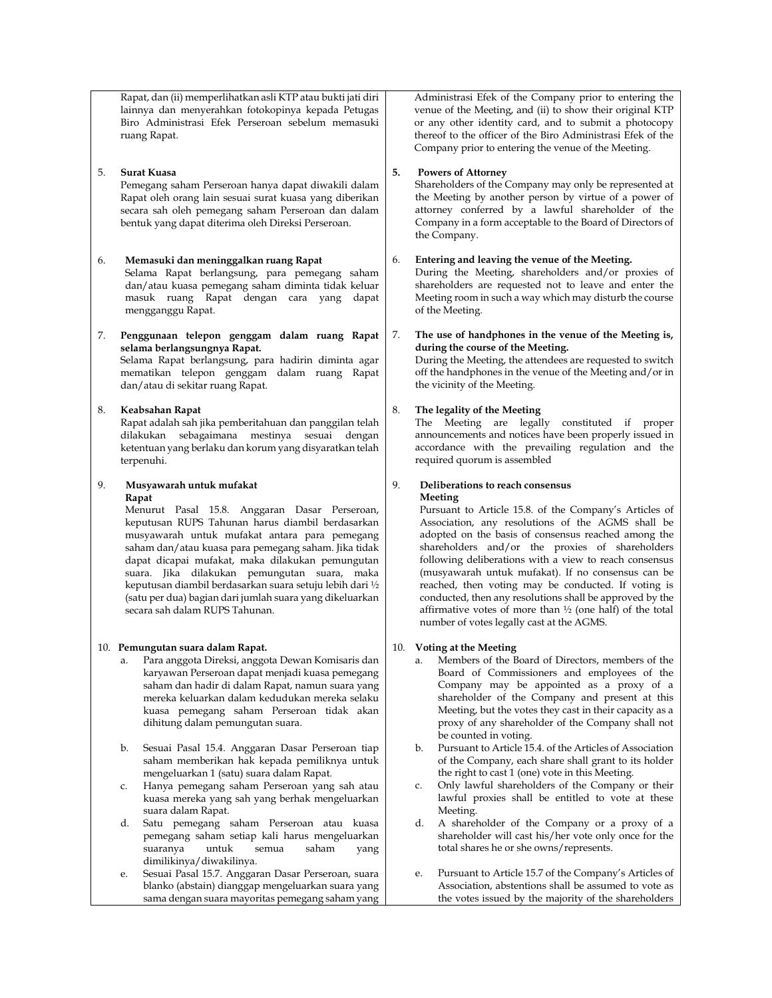Rapat, dan (ii) memperlihatkan asli KTP atau bukti jati diri lainnya dan menyerahkan fotokopinya kepada Petugas Biro Administrasi Efek Perseroan sebelum memasuki ruang Rapat.

## 5. **Surat Kuasa**

Pemegang saham Perseroan hanya dapat diwakili dalam Rapat oleh orang lain sesuai surat kuasa yang diberikan secara sah oleh pemegang saham Perseroan dan dalam bentuk yang dapat diterima oleh Direksi Perseroan.

## 6. **Memasuki dan meninggalkan ruang Rapat**

Selama Rapat berlangsung, para pemegang saham dan/atau kuasa pemegang saham diminta tidak keluar masuk ruang Rapat dengan cara yang dapat mengganggu Rapat.

7. **Penggunaan telepon genggam dalam ruang Rapat selama berlangsungnya Rapat.** Selama Rapat berlangsung, para hadirin diminta agar mematikan telepon genggam dalam ruang Rapat dan/atau di sekitar ruang Rapat.

### 8. **Keabsahan Rapat**

Rapat adalah sah jika pemberitahuan dan panggilan telah dilakukan sebagaimana mestinya sesuai dengan ketentuan yang berlaku dan korum yang disyaratkan telah terpenuhi.

## 9. **Musyawarah untuk mufakat Rapat**

Menurut Pasal 15.8. Anggaran Dasar Perseroan, keputusan RUPS Tahunan harus diambil berdasarkan musyawarah untuk mufakat antara para pemegang saham dan/atau kuasa para pemegang saham. Jika tidak dapat dicapai mufakat, maka dilakukan pemungutan suara. Jika dilakukan pemungutan suara, maka keputusan diambil berdasarkan suara setuju lebih dari ½ (satu per dua) bagian dari jumlah suara yang dikeluarkan secara sah dalam RUPS Tahunan.

#### 10. **Pemungutan suara dalam Rapat.**

- a. Para anggota Direksi, anggota Dewan Komisaris dan karyawan Perseroan dapat menjadi kuasa pemegang saham dan hadir di dalam Rapat, namun suara yang mereka keluarkan dalam kedudukan mereka selaku kuasa pemegang saham Perseroan tidak akan dihitung dalam pemungutan suara.
- b. Sesuai Pasal 15.4. Anggaran Dasar Perseroan tiap saham memberikan hak kepada pemiliknya untuk mengeluarkan 1 (satu) suara dalam Rapat.
- c. Hanya pemegang saham Perseroan yang sah atau kuasa mereka yang sah yang berhak mengeluarkan suara dalam Rapat.
- d. Satu pemegang saham Perseroan atau kuasa pemegang saham setiap kali harus mengeluarkan suaranya untuk semua saham yang dimilikinya/diwakilinya.
- e. Sesuai Pasal 15.7. Anggaran Dasar Perseroan, suara blanko (abstain) dianggap mengeluarkan suara yang sama dengan suara mayoritas pemegang saham yang

Administrasi Efek of the Company prior to entering the venue of the Meeting, and (ii) to show their original KTP or any other identity card, and to submit a photocopy thereof to the officer of the Biro Administrasi Efek of the Company prior to entering the venue of the Meeting.

## **5. Powers of Attorney**

Shareholders of the Company may only be represented at the Meeting by another person by virtue of a power of attorney conferred by a lawful shareholder of the Company in a form acceptable to the Board of Directors of the Company.

## 6. **Entering and leaving the venue of the Meeting.**

During the Meeting, shareholders and/or proxies of shareholders are requested not to leave and enter the Meeting room in such a way which may disturb the course of the Meeting.

#### 7. **The use of handphones in the venue of the Meeting is, during the course of the Meeting.**

During the Meeting, the attendees are requested to switch off the handphones in the venue of the Meeting and/or in the vicinity of the Meeting.

# 8. **The legality of the Meeting**

The Meeting are legally constituted if proper announcements and notices have been properly issued in accordance with the prevailing regulation and the required quorum is assembled

#### 9. **Deliberations to reach consensus Meeting**

Pursuant to Article 15.8. of the Company's Articles of Association, any resolutions of the AGMS shall be adopted on the basis of consensus reached among the shareholders and/or the proxies of shareholders following deliberations with a view to reach consensus (musyawarah untuk mufakat). If no consensus can be reached, then voting may be conducted. If voting is conducted, then any resolutions shall be approved by the affirmative votes of more than  $\frac{1}{2}$  (one half) of the total number of votes legally cast at the AGMS.

## 10. **Voting at the Meeting**

- a. Members of the Board of Directors, members of the Board of Commissioners and employees of the Company may be appointed as a proxy of a shareholder of the Company and present at this Meeting, but the votes they cast in their capacity as a proxy of any shareholder of the Company shall not be counted in voting.
- b. Pursuant to Article 15.4. of the Articles of Association of the Company, each share shall grant to its holder the right to cast 1 (one) vote in this Meeting.
- c. Only lawful shareholders of the Company or their lawful proxies shall be entitled to vote at these Meeting.
- d. A shareholder of the Company or a proxy of a shareholder will cast his/her vote only once for the total shares he or she owns/represents.
- e. Pursuant to Article 15.7 of the Company's Articles of Association, abstentions shall be assumed to vote as the votes issued by the majority of the shareholders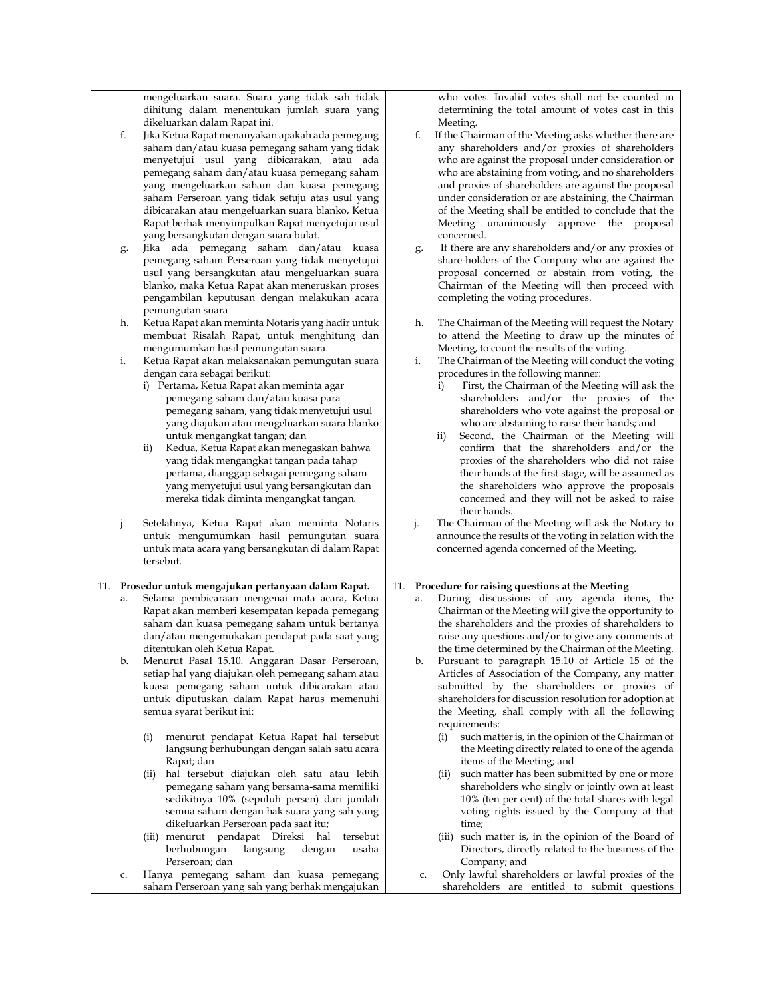mengeluarkan suara. Suara yang tidak sah tidak dihitung dalam menentukan jumlah suara yang dikeluarkan dalam Rapat ini.

- f. Jika Ketua Rapat menanyakan apakah ada pemegang saham dan/atau kuasa pemegang saham yang tidak menyetujui usul yang dibicarakan, atau ada pemegang saham dan/atau kuasa pemegang saham yang mengeluarkan saham dan kuasa pemegang saham Perseroan yang tidak setuju atas usul yang dibicarakan atau mengeluarkan suara blanko, Ketua Rapat berhak menyimpulkan Rapat menyetujui usul yang bersangkutan dengan suara bulat.
- g. Jika ada pemegang saham dan/atau kuasa pemegang saham Perseroan yang tidak menyetujui usul yang bersangkutan atau mengeluarkan suara blanko, maka Ketua Rapat akan meneruskan proses pengambilan keputusan dengan melakukan acara pemungutan suara
- h. Ketua Rapat akan meminta Notaris yang hadir untuk membuat Risalah Rapat, untuk menghitung dan mengumumkan hasil pemungutan suara.
- i. Ketua Rapat akan melaksanakan pemungutan suara dengan cara sebagai berikut:
	- i) Pertama, Ketua Rapat akan meminta agar pemegang saham dan/atau kuasa para pemegang saham, yang tidak menyetujui usul yang diajukan atau mengeluarkan suara blanko untuk mengangkat tangan; dan
	- Kedua, Ketua Rapat akan menegaskan bahwa yang tidak mengangkat tangan pada tahap pertama, dianggap sebagai pemegang saham yang menyetujui usul yang bersangkutan dan mereka tidak diminta mengangkat tangan.
- j. Setelahnya, Ketua Rapat akan meminta Notaris untuk mengumumkan hasil pemungutan suara untuk mata acara yang bersangkutan di dalam Rapat tersebut.

### 11. **Prosedur untuk mengajukan pertanyaan dalam Rapat.**

- a. Selama pembicaraan mengenai mata acara, Ketua Rapat akan memberi kesempatan kepada pemegang saham dan kuasa pemegang saham untuk bertanya dan/atau mengemukakan pendapat pada saat yang ditentukan oleh Ketua Rapat.
- b. Menurut Pasal 15.10. Anggaran Dasar Perseroan, setiap hal yang diajukan oleh pemegang saham atau kuasa pemegang saham untuk dibicarakan atau untuk diputuskan dalam Rapat harus memenuhi semua syarat berikut ini:
	- (i) menurut pendapat Ketua Rapat hal tersebut langsung berhubungan dengan salah satu acara Rapat; dan
	- (ii) hal tersebut diajukan oleh satu atau lebih pemegang saham yang bersama-sama memiliki sedikitnya 10% (sepuluh persen) dari jumlah semua saham dengan hak suara yang sah yang dikeluarkan Perseroan pada saat itu;
	- (iii) menurut pendapat Direksi hal tersebut berhubungan langsung dengan usaha Perseroan; dan
- Hanya pemegang saham dan kuasa pemegang saham Perseroan yang sah yang berhak mengajukan

who votes. Invalid votes shall not be counted in determining the total amount of votes cast in this Meeting.

- f. If the Chairman of the Meeting asks whether there are any shareholders and/or proxies of shareholders who are against the proposal under consideration or who are abstaining from voting, and no shareholders and proxies of shareholders are against the proposal under consideration or are abstaining, the Chairman of the Meeting shall be entitled to conclude that the Meeting unanimously approve the proposal concerned.
- If there are any shareholders and/or any proxies of share-holders of the Company who are against the proposal concerned or abstain from voting, the Chairman of the Meeting will then proceed with completing the voting procedures.
- The Chairman of the Meeting will request the Notary to attend the Meeting to draw up the minutes of Meeting, to count the results of the voting.
- i. The Chairman of the Meeting will conduct the voting procedures in the following manner:
	- i) First, the Chairman of the Meeting will ask the shareholders and/or the proxies of the shareholders who vote against the proposal or who are abstaining to raise their hands; and
	- ii) Second, the Chairman of the Meeting will confirm that the shareholders and/or the proxies of the shareholders who did not raise their hands at the first stage, will be assumed as the shareholders who approve the proposals concerned and they will not be asked to raise their hands.
- j. The Chairman of the Meeting will ask the Notary to announce the results of the voting in relation with the concerned agenda concerned of the Meeting.

### 11. **Procedure for raising questions at the Meeting**

- a. During discussions of any agenda items, the Chairman of the Meeting will give the opportunity to the shareholders and the proxies of shareholders to raise any questions and/or to give any comments at the time determined by the Chairman of the Meeting.
- b. Pursuant to paragraph 15.10 of Article 15 of the Articles of Association of the Company, any matter submitted by the shareholders or proxies of shareholders for discussion resolution for adoption at the Meeting, shall comply with all the following requirements:
	- (i) such matter is, in the opinion of the Chairman of the Meeting directly related to one of the agenda items of the Meeting; and
	- (ii) such matter has been submitted by one or more shareholders who singly or jointly own at least 10% (ten per cent) of the total shares with legal voting rights issued by the Company at that time;
	- (iii) such matter is, in the opinion of the Board of Directors, directly related to the business of the Company; and
- c. Only lawful shareholders or lawful proxies of the shareholders are entitled to submit questions